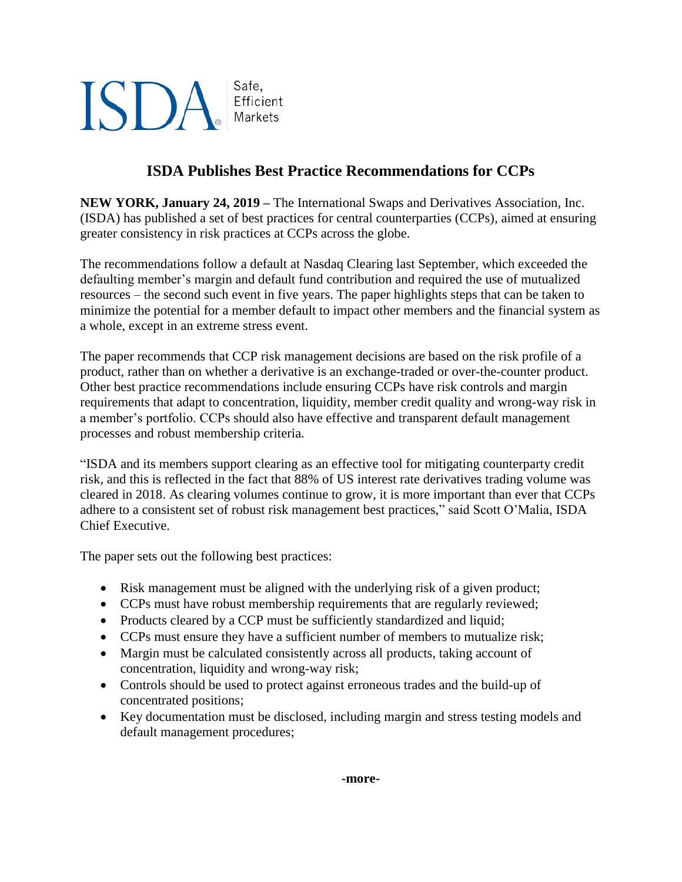## **ISDA** Safe. Markets

Efficient

## **ISDA Publishes Best Practice Recommendations for CCPs**

**NEW YORK, January 24, 2019 –** The International Swaps and Derivatives Association, Inc. (ISDA) has published a set of best practices for central counterparties (CCPs), aimed at ensuring greater consistency in risk practices at CCPs across the globe.

The recommendations follow a default at Nasdaq Clearing last September, which exceeded the defaulting member's margin and default fund contribution and required the use of mutualized resources – the second such event in five years. The paper highlights steps that can be taken to minimize the potential for a member default to impact other members and the financial system as a whole, except in an extreme stress event.

The paper recommends that CCP risk management decisions are based on the risk profile of a product, rather than on whether a derivative is an exchange-traded or over-the-counter product. Other best practice recommendations include ensuring CCPs have risk controls and margin requirements that adapt to concentration, liquidity, member credit quality and wrong-way risk in a member's portfolio. CCPs should also have effective and transparent default management processes and robust membership criteria.

"ISDA and its members support clearing as an effective tool for mitigating counterparty credit risk, and this is reflected in the fact that 88% of US interest rate derivatives trading volume was cleared in 2018. As clearing volumes continue to grow, it is more important than ever that CCPs adhere to a consistent set of robust risk management best practices," said Scott O'Malia, ISDA Chief Executive.

The paper sets out the following best practices:

- Risk management must be aligned with the underlying risk of a given product;
- CCPs must have robust membership requirements that are regularly reviewed;
- Products cleared by a CCP must be sufficiently standardized and liquid;
- CCPs must ensure they have a sufficient number of members to mutualize risk;
- Margin must be calculated consistently across all products, taking account of concentration, liquidity and wrong-way risk;
- Controls should be used to protect against erroneous trades and the build-up of concentrated positions;
- Key documentation must be disclosed, including margin and stress testing models and default management procedures;

**-more-**